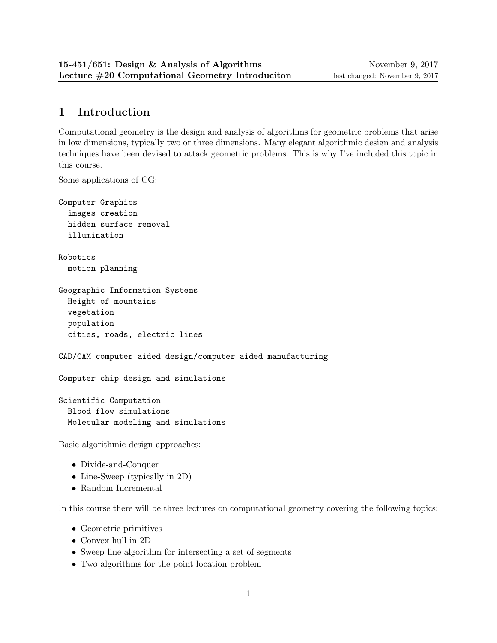# 1 Introduction

Computational geometry is the design and analysis of algorithms for geometric problems that arise in low dimensions, typically two or three dimensions. Many elegant algorithmic design and analysis techniques have been devised to attack geometric problems. This is why I've included this topic in this course.

Some applications of CG:

```
Computer Graphics
  images creation
 hidden surface removal
  illumination
Robotics
 motion planning
Geographic Information Systems
 Height of mountains
  vegetation
 population
  cities, roads, electric lines
CAD/CAM computer aided design/computer aided manufacturing
Computer chip design and simulations
Scientific Computation
 Blood flow simulations
 Molecular modeling and simulations
Basic algorithmic design approaches:
```
- Divide-and-Conquer
- Line-Sweep (typically in 2D)
- Random Incremental

In this course there will be three lectures on computational geometry covering the following topics:

- Geometric primitives
- Convex hull in 2D
- Sweep line algorithm for intersecting a set of segments
- Two algorithms for the point location problem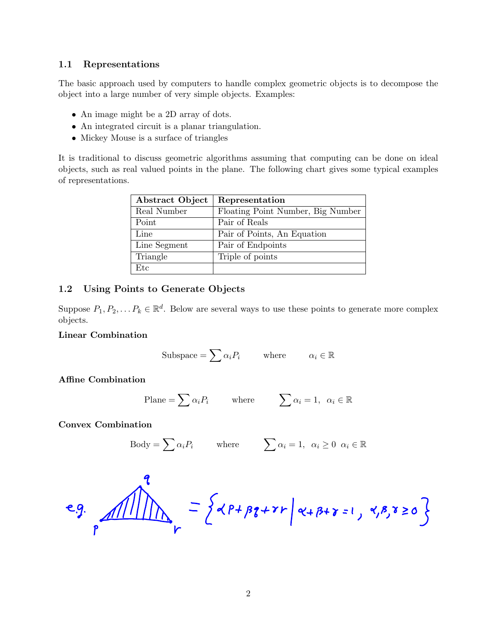#### 1.1 Representations

The basic approach used by computers to handle complex geometric objects is to decompose the object into a large number of very simple objects. Examples:

- An image might be a 2D array of dots.
- An integrated circuit is a planar triangulation.
- Mickey Mouse is a surface of triangles

It is traditional to discuss geometric algorithms assuming that computing can be done on ideal objects, such as real valued points in the plane. The following chart gives some typical examples of representations.

| Abstract Object   Representation |                                   |
|----------------------------------|-----------------------------------|
| Real Number                      | Floating Point Number, Big Number |
| Point                            | Pair of Reals                     |
| Line                             | Pair of Points, An Equation       |
| Line Segment                     | Pair of Endpoints                 |
| Triangle                         | Triple of points                  |
| $_{\rm Etc}$                     |                                   |

## 1.2 Using Points to Generate Objects

Suppose  $P_1, P_2, \ldots P_k \in \mathbb{R}^d$ . Below are several ways to use these points to generate more complex objects.

#### Linear Combination

Subspace = 
$$
\sum \alpha_i P_i
$$
 where  $\alpha_i \in \mathbb{R}$ 

Affine Combination

Plane = 
$$
\sum \alpha_i P_i
$$
 where  $\sum \alpha_i = 1, \alpha_i \in \mathbb{R}$ 

Convex Combination

$$
Body = \sum \alpha_i P_i \qquad \text{where} \qquad \sum \alpha_i = 1, \ \alpha_i \ge 0 \ \alpha_i \in \mathbb{R}
$$

$$
e.g.\frac{1}{\sqrt{11}}\sqrt{11}
$$
 =  $\{e^{18}+88+21\}e^{18+8+8=1}, 8,8,8\ge0\}$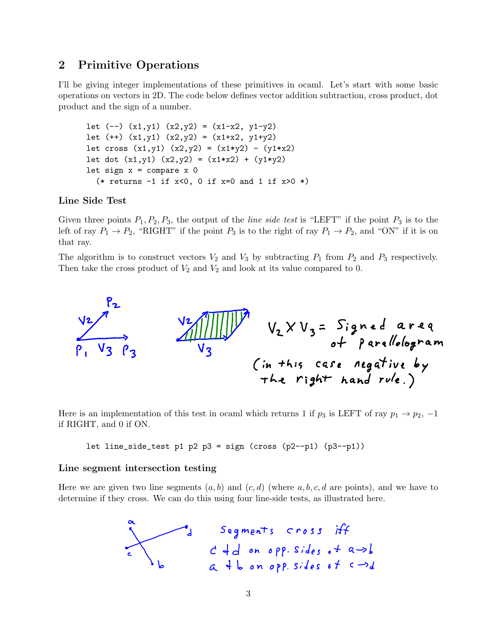## 2 Primitive Operations

I'll be giving integer implementations of these primitives in ocaml. Let's start with some basic operations on vectors in 2D. The code below defines vector addition subtraction, cross product, dot product and the sign of a number.

```
let (-) (x1, y1) (x2, y2) = (x1-x2, y1-y2)let (+) (x1,y1) (x2,y2) = (x1+x2, y1+y2)let cross (x1,y1) (x2,y2) = (x1*y2) - (y1*x2)let dot (x1,y1) (x2,y2) = (x1*x2) + (y1*y2)let sign x = compare x \theta(* returns -1 if x<0, 0 if x=0 and 1 if x>0 *)
```
# Line Side Test

Given three points  $P_1, P_2, P_3$ , the output of the *line side test* is "LEFT" if the point  $P_3$  is to the left of ray  $P_1 \rightarrow P_2$ , "RIGHT" if the point  $P_3$  is to the right of ray  $P_1 \rightarrow P_2$ , and "ON" if it is on that ray.

The algorithm is to construct vectors  $V_2$  and  $V_3$  by subtracting  $P_1$  from  $P_2$  and  $P_3$  respectively. Then take the cross product of  $V_2$  and  $V_2$  and look at its value compared to 0.



Here is an implementation of this test in ocaml which returns 1 if  $p_3$  is LEFT of ray  $p_1 \rightarrow p_2$ , -1 if RIGHT, and 0 if ON.

let line\_side\_test p1 p2 p3 = sign (cross (p2--p1) (p3--p1))

#### Line segment intersection testing  $\overline{O}$

Here we are given two line segments  $(a, b)$  and  $(c, d)$  (where  $a, b, c, d$  are points), and we have to determine if they cross. We can do this using four line-side tests, as illustrated here.

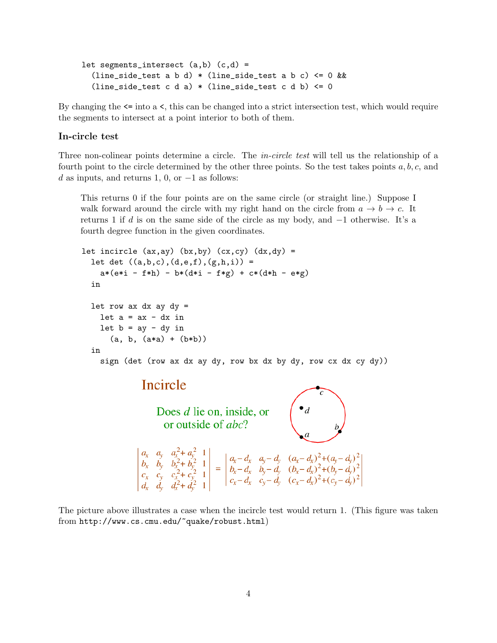```
let segments_intersect (a,b) (c,d) =
\frac{1}{2} (line_side_test a b d) * (line_side_test a b c) <= 0 & &
(line_side_test c d a) * (line_side_test c d b) <= 0
```
By changing the  $\leq$  into a  $\leq$ , this can be changed into a strict intersection test, which would require the segments to intersect at a point interior to both of them. egments to interse

#### $\operatorname{In-circle}\ \text{test}$

Three non-colinear points determine a circle. The *in-circle test* will tell us the relationship of a fourth point to the circle determined by the other three points. So the test takes points  $a, b, c$ , and d as inputs, and returns 1, 0, or  $-1$  as follows: Many computational geometry applications use numerical tests known as the *orientation* and *incircle* tests. The orientation test determines

This returns 0 if the four points are on the same circle (or straight line.) Suppose I walk forward around the circle with my right hand on the circle from  $a \to b \to c$ . It returns 1 if d is on the same side of the circle as my body, and  $-1$  otherwise. It's a fourth dogree function in the given coordinates fourth degree function in the given coordinates. lies inside, on a circle in a circle state of the court points.

```
let incircle (ax,ay) (bx,by) (cx,cy) (dx,dy) =
    let det ((a,b,c),(d,e,f),(g,h,i)) =
        a*(e*i - f*h) - b*(d*i - f*g) + c*(d*h - e*g)in
    let row ax dx ay dy =let a = ax - dx in
       let b = ay - dy in
            (a, b, (a*a) + (b*b))in
        sign (det (row ax dx ay dy, row bx dx by dy, row cx dx cy dy))
                         Incircle
                               Does d lie on, inside, or<br>or outside of abc?
                                                                                         \begin{pmatrix} \bullet_d & & \\ & d & \\ & & b \end{pmatrix}\begin{vmatrix} a_x & a_y & a_x^2 + a_y^2 & 1 \\ b_x & b_y & b_x^2 + b_y^2 & 1 \\ c_x & c_y & c_x^2 + c_y^2 & 1 \\ d & d & d^2 + d^2 & 1 \end{vmatrix} = \begin{vmatrix} a_x - d_x & a_y - d_y & (a_x - d_x)^2 + (a_y - d_y)^2 \\ b_x - d_x & b_y - d_y & (b_x - d_x)^2 + (b_y - d_y)^2 \\ c_x - d_x & c_y - d_y & (c_x - d_x)^2 + (c_y - d_y)^2 \end{vmatrix}
```
problem is to solve the solve the unit of the unit of the form and the point are arbitrary precision for a recognizion floating-point are point and the point are point and the point are point and the point are point and th The picture above illustrates a case when the incircle test would return 1. (This figure was taken To minimize this problem, I've produced algorithms and implementations for performing the  $2$ from http://www.cs.cmu.edu/~quake/robust.html)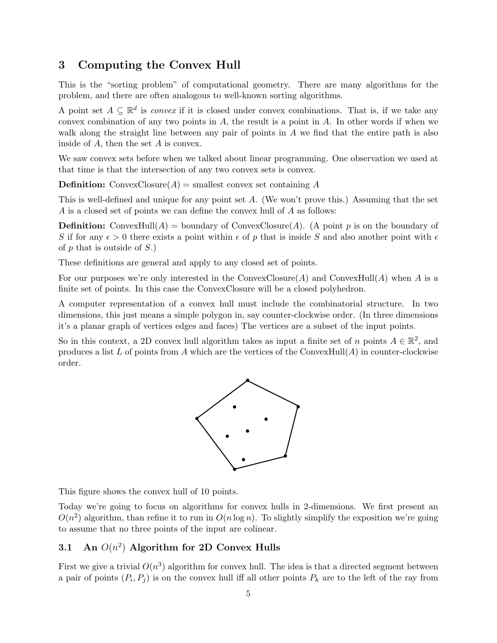## 3 Computing the Convex Hull

This is the "sorting problem" of computational geometry. There are many algorithms for the problem, and there are often analogous to well-known sorting algorithms.

A point set  $A \subseteq \mathbb{R}^d$  is *convex* if it is closed under convex combinations. That is, if we take any convex combination of any two points in  $A$ , the result is a point in  $A$ . In other words if when we walk along the straight line between any pair of points in A we find that the entire path is also inside of A, then the set A is convex.

We saw convex sets before when we talked about linear programming. One observation we used at that time is that the intersection of any two convex sets is convex.

**Definition:** ConvexClosure $(A)$  = smallest convex set containing A

This is well-defined and unique for any point set A. (We won't prove this.) Assuming that the set A is a closed set of points we can define the convex hull of A as follows:

**Definition:** ConvexHull $(A)$  = boundary of ConvexClosure $(A)$ . (A point p is on the boundary of S if for any  $\epsilon > 0$  there exists a point within  $\epsilon$  of p that is inside S and also another point with  $\epsilon$ of  $p$  that is outside of  $S$ .)

These definitions are general and apply to any closed set of points.

For our purposes we're only interested in the ConvexClosure(A) and ConvexHull(A) when A is a finite set of points. In this case the ConvexClosure will be a closed polyhedron.

A computer representation of a convex hull must include the combinatorial structure. In two dimensions, this just means a simple polygon in, say counter-clockwise order. (In three dimensions it's a planar graph of vertices edges and faces) The vertices are a subset of the input points.

So in this context, a 2D convex hull algorithm takes as input a finite set of n points  $A \in \mathbb{R}^2$ , and produces a list  $L$  of points from  $A$  which are the vertices of the ConvexHull( $A$ ) in counter-clockwise order.



This figure shows the convex hull of 10 points.

Today we're going to focus on algorithms for convex hulls in 2-dimensions. We first present an  $O(n^2)$  algorithm, than refine it to run in  $O(n \log n)$ . To slightly simplify the exposition we're going to assume that no three points of the input are colinear.

## 3.1 An  $O(n^2)$  Algorithm for 2D Convex Hulls

First we give a trivial  $O(n^3)$  algorithm for convex hull. The idea is that a directed segment between a pair of points  $(P_i, P_j)$  is on the convex hull iff all other points  $P_k$  are to the left of the ray from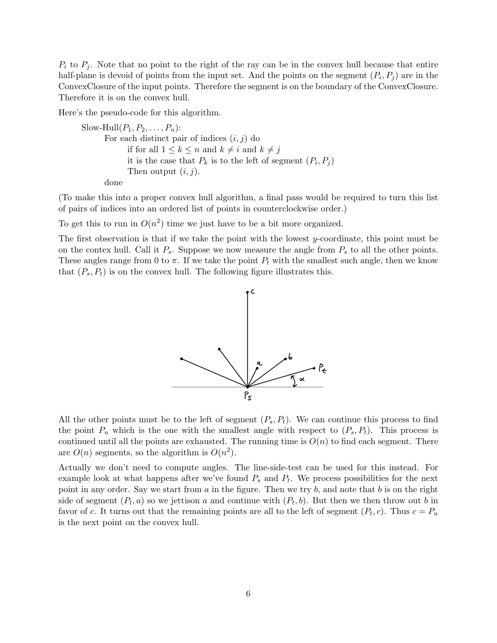$P_i$  to  $P_j$ . Note that no point to the right of the ray can be in the convex hull because that entire half-plane is devoid of points from the input set. And the points on the segment  $(P_i, P_j)$  are in the ConvexClosure of the input points. Therefore the segment is on the boundary of the ConvexClosure. Therefore it is on the convex hull.

Here's the pseudo-code for this algorithm.

```
Slow-Hull(P_1, P_2, \ldots, P_n):
      For each distinct pair of indices (i, j) do
             if for all 1 \leq k \leq n and k \neq i and k \neq jit is the case that P_k is to the left of segment (P_i, P_j)Then output (i, j).
```
done

(To make this into a proper convex hull algorithm, a final pass would be required to turn this list of pairs of indices into an ordered list of points in counterclockwise order.)

To get this to run in  $O(n^2)$  time we just have to be a bit more organized.

The first observation is that if we take the point with the lowest y-coordinate, this point must be on the contex hull. Call it  $P_s$ . Suppose we now measure the angle from  $P_s$  to all the other points. These angles range from 0 to  $\pi$ . If we take the point  $P_t$  with the smallest such angle, then we know that  $(P_s, P_t)$  is on the convex hull. The following figure illustrates this.



All the other points must be to the left of segment  $(P_s, P_t)$ . We can continue this process to find the point  $P_u$  which is the one with the smallest angle with respect to  $(P_s, P_t)$ . This process is continued until all the points are exhausted. The running time is  $O(n)$  to find each segment. There are  $O(n)$  segments, so the algorithm is  $O(n^2)$ .

Actually we don't need to compute angles. The line-side-test can be used for this instead. For example look at what happens after we've found  $P_s$  and  $P_t$ . We process possibilities for the next point in any order. Say we start from  $a$  in the figure. Then we try  $b$ , and note that  $b$  is on the right side of segment  $(P_t, a)$  so we jettison a and continue with  $(P_t, b)$ . But then we then throw out b in favor of c. It turns out that the remaining points are all to the left of segment  $(P_t, c)$ . Thus  $c = P_u$ is the next point on the convex hull.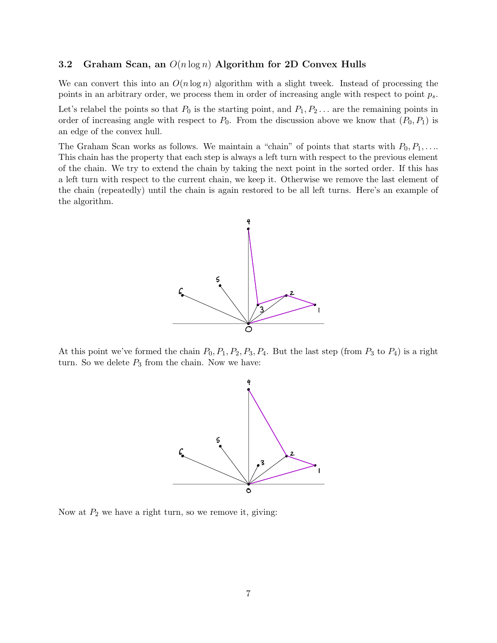#### 3.2 Graham Scan, an  $O(n \log n)$  Algorithm for 2D Convex Hulls

We can convert this into an  $O(n \log n)$  algorithm with a slight tweek. Instead of processing the points in an arbitrary order, we process them in order of increasing angle with respect to point  $p_s$ .

Let's relabel the points so that  $P_0$  is the starting point, and  $P_1, P_2, \ldots$  are the remaining points in order of increasing angle with respect to  $P_0$ . From the discussion above we know that  $(P_0, P_1)$  is an edge of the convex hull.

The Graham Scan works as follows. We maintain a "chain" of points that starts with  $P_0, P_1, \ldots$ This chain has the property that each step is always a left turn with respect to the previous element of the chain. We try to extend the chain by taking the next point in the sorted order. If this has a left turn with respect to the current chain, we keep it. Otherwise we remove the last element of the chain (repeatedly) until the chain is again restored to be all left turns. Here's an example of the algorithm.



At this point we've formed the chain  $P_0$ ,  $P_1$ ,  $P_2$ ,  $P_3$ ,  $P_4$ . But the last step (from  $P_3$  to  $P_4$ ) is a right turn. So we delete  $P_3$  from the chain. Now we have:



Now at  $P_2$  we have a right turn, so we remove it, giving: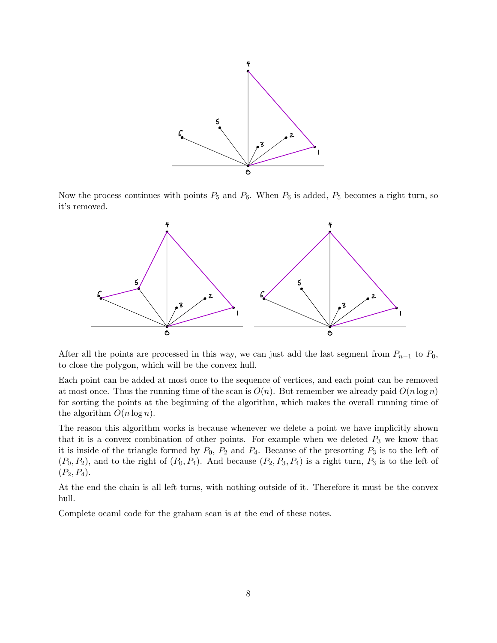

Now the process continues with points  $P_5$  and  $P_6$ . When  $P_6$  is added,  $P_5$  becomes a right turn, so it's removed.



After all the points are processed in this way, we can just add the last segment from  $P_{n-1}$  to  $P_0$ , to close the polygon, which will be the convex hull.

Each point can be added at most once to the sequence of vertices, and each point can be removed at most once. Thus the running time of the scan is  $O(n)$ . But remember we already paid  $O(n \log n)$ for sorting the points at the beginning of the algorithm, which makes the overall running time of the algorithm  $O(n \log n)$ .

The reason this algorithm works is because whenever we delete a point we have implicitly shown that it is a convex combination of other points. For example when we deleted  $P_3$  we know that it is inside of the triangle formed by  $P_0$ ,  $P_2$  and  $P_4$ . Because of the presorting  $P_3$  is to the left of  $(P_0, P_2)$ , and to the right of  $(P_0, P_4)$ . And because  $(P_2, P_3, P_4)$  is a right turn,  $P_3$  is to the left of  $(P_2, P_4).$ 

At the end the chain is all left turns, with nothing outside of it. Therefore it must be the convex hull.

Complete ocaml code for the graham scan is at the end of these notes.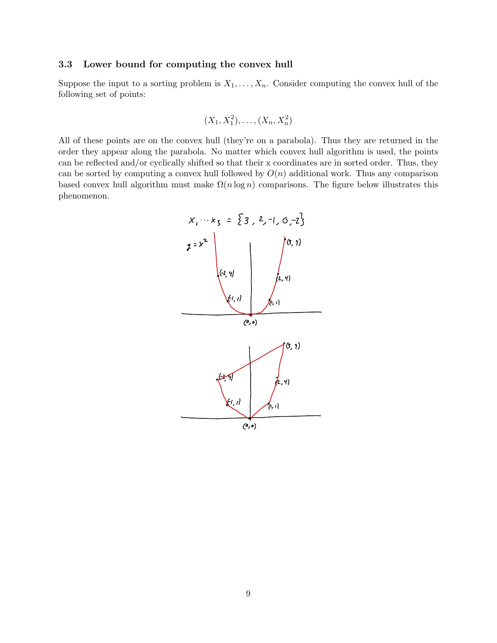### 3.3 Lower bound for computing the convex hull

Suppose the input to a sorting problem is  $X_1, \ldots, X_n$ . Consider computing the convex hull of the following set of points:

$$
(X_1, X_1^2), \ldots, (X_n, X_n^2)
$$

All of these points are on the convex hull (they're on a parabola). Thus they are returned in the order they appear along the parabola. No matter which convex hull algorithm is used, the points can be reflected and/or cyclically shifted so that their x coordinates are in sorted order. Thus, they can be sorted by computing a convex hull followed by  $O(n)$  additional work. Thus any comparison based convex hull algorithm must make  $\Omega(n \log n)$  comparisons. The figure below illustrates this phenomenon.